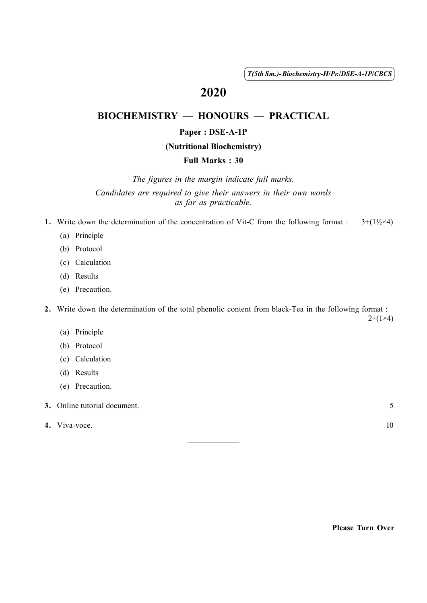( 1 ) *T(5th Sm.)-Biochemistry-H*/*Pr.*/*DSE-A-1P*/*CBCS*

# 2020

## BIOCHEMISTRY — HONOURS — PRACTICAL

#### Paper : DSE-A-1P

#### (Nutritional Biochemistry)

### Full Marks : 30

*The figures in the margin indicate full marks. Candidates are required to give their answers in their own words as far as practicable.*

- 1. Write down the determination of the concentration of Vit-C from the following format :  $3+(1\frac{1}{2} \times 4)$ 
	- (a) Principle
	- (b) Protocol
	- (c) Calculation
	- (d) Results
	- (e) Precaution.

2. Write down the determination of the total phenolic content from black-Tea in the following format :  $2+(1\times4)$ 

(a) Principle

- (b) Protocol
- (c) Calculation
- (d) Results
- (e) Precaution.
- 3. Online tutorial document. 5
- 4. Viva-voce.  $10$

Please Turn Over